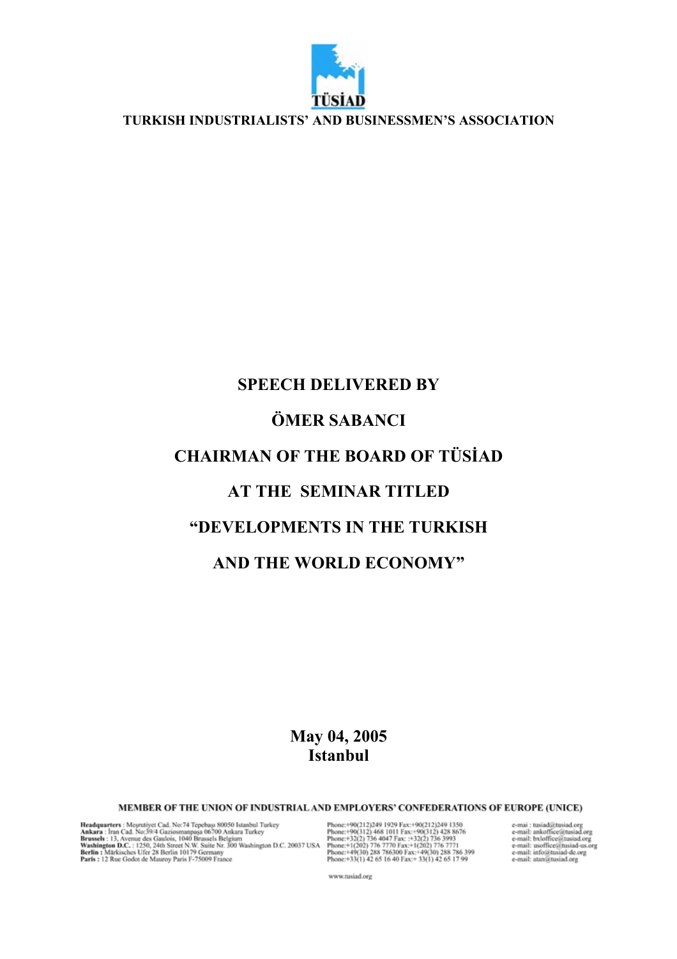

**TURKISH INDUSTRIALISTS' AND BUSINESSMEN'S ASSOCIATION**

## **SPEECH DELIVERED BY ÖMER SABANCI CHAIRMAN OF THE BOARD OF TÜSİAD AT THE SEMINAR TITLED "DEVELOPMENTS IN THE TURKISH AND THE WORLD ECONOMY"**

## **May 04, 2005 Istanbul**

MEMBER OF THE UNION OF INDUSTRIAL AND EMPLOYERS' CONFEDERATIONS OF EUROPE (UNICE)

 $\begin{tabular}{l|c|c|c|c|c} \textbf{Headuparters:}\textbf{Mesmityet}\textbf{Cad, No:74 Tepebasy 80050 Istanbul} \textbf{Turkey} & \textbf{Pbonc:} + 90(212)249 1929 \textbf{Fax:} + 90(212)249 1350 \\ \textbf{Ankara:}\textbf{Iran Cad.}\textbf{No:39/4 Gaziosmanpaga 06700\textbf{Ankara Turkey} & \textbf{Pbonc:} + 90(312) 468 1011 \textbf{Fax:} + 90(312) 428 8$ 

e-mai : tusiad@tusiad.org<br>e-mail: ankoffice@tusiad.org<br>e-mail: bxloffice@tusiad.org<br>e-mail: usoffice@tusiad-us.org<br>e-mail: anfo@tusiad-de.org<br>e-mail: atan@tusiad.org

www.tusiad.org